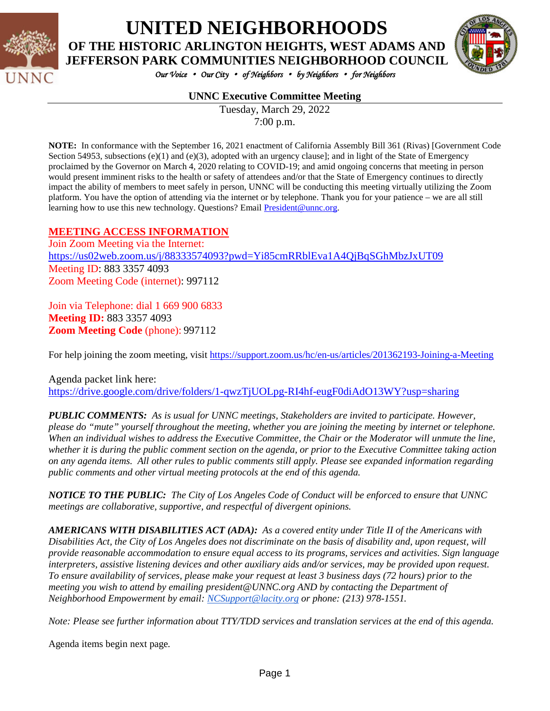

# **UNITED NEIGHBORHOODS OF THE HISTORIC ARLINGTON HEIGHTS, WEST ADAMS AND**

*Our Voice* • *Our City* • *of Neighbors* • *by Neighbors* • *for Neighbors* 

### **UNNC Executive Committee Meeting**

Tuesday, March 29, 2022 7:00 p.m.

**NOTE:** In conformance with the September 16, 2021 enactment of California Assembly Bill 361 (Rivas) [Government Code Section 54953, subsections  $(e)(1)$  and  $(e)(3)$ , adopted with an urgency clause]; and in light of the State of Emergency proclaimed by the Governor on March 4, 2020 relating to COVID-19; and amid ongoing concerns that meeting in person would present imminent risks to the health or safety of attendees and/or that the State of Emergency continues to directly impact the ability of members to meet safely in person, UNNC will be conducting this meeting virtually utilizing the Zoom platform. You have the option of attending via the internet or by telephone. Thank you for your patience – we are all still learning how to use this new technology. Questions? Email [President@unnc.org.](mailto:President@unnc.org)

#### **MEETING ACCESS INFORMATION**

Join Zoom Meeting via the Internet: <https://us02web.zoom.us/j/88333574093?pwd=Yi85cmRRblEva1A4QjBqSGhMbzJxUT09> Meeting ID: 883 3357 4093 Zoom Meeting Code (internet): 997112

Join via Telephone: dial 1 669 900 6833 **Meeting ID:** 883 3357 4093 **Zoom Meeting Code** (phone): 997112

For help joining the zoom meeting, visit<https://support.zoom.us/hc/en-us/articles/201362193-Joining-a-Meeting>

Agenda packet link here: <https://drive.google.com/drive/folders/1-qwzTjUOLpg-RI4hf-eugF0diAdO13WY?usp=sharing>

*PUBLIC COMMENTS: As is usual for UNNC meetings, Stakeholders are invited to participate. However, please do "mute" yourself throughout the meeting, whether you are joining the meeting by internet or telephone. When an individual wishes to address the Executive Committee, the Chair or the Moderator will unmute the line, whether it is during the public comment section on the agenda, or prior to the Executive Committee taking action on any agenda items. All other rules to public comments still apply. Please see expanded information regarding public comments and other virtual meeting protocols at the end of this agenda.*

*NOTICE TO THE PUBLIC: The City of Los Angeles Code of Conduct will be enforced to ensure that UNNC meetings are collaborative, supportive, and respectful of divergent opinions.* 

*AMERICANS WITH DISABILITIES ACT (ADA): As a covered entity under Title II of the Americans with Disabilities Act, the City of Los Angeles does not discriminate on the basis of disability and, upon request, will provide reasonable accommodation to ensure equal access to its programs, services and activities. Sign language interpreters, assistive listening devices and other auxiliary aids and/or services, may be provided upon request. To ensure availability of services, please make your request at least 3 business days (72 hours) prior to the meeting you wish to attend by emailing president@UNNC.org AND by contacting the Department of Neighborhood Empowerment by email: [NCSupport@lacity.org](mailto:NCSupport@lacity.org) or phone: (213) 978-1551.* 

*Note: Please see further information about TTY/TDD services and translation services at the end of this agenda.*

Agenda items begin next page*.*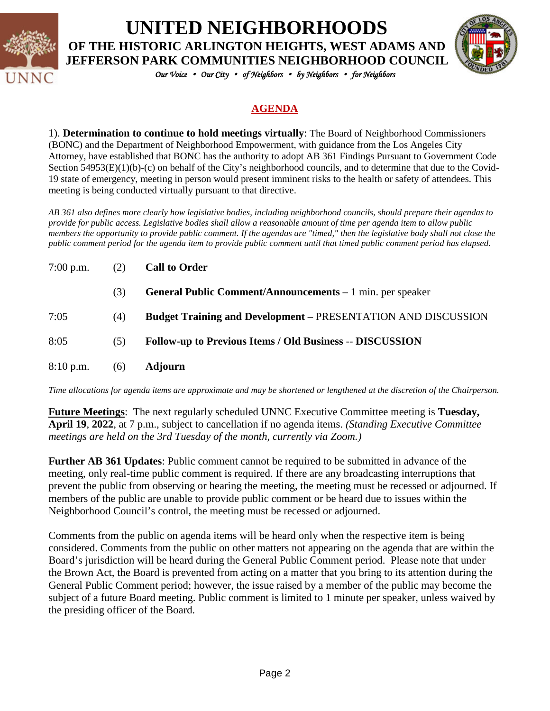

# **UNITED NEIGHBORHOODS OF THE HISTORIC ARLINGTON HEIGHTS, WEST ADAMS AND JEFFERSON PARK COMMUNITIES NEIGHBORHOOD COUNCIL**



*Our Voice* • *Our City* • *of Neighbors* • *by Neighbors* • *for Neighbors* 

## **AGENDA**

1). **Determination to continue to hold meetings virtually**: The Board of Neighborhood Commissioners (BONC) and the Department of Neighborhood Empowerment, with guidance from the Los Angeles City Attorney, have established that BONC has the authority to adopt AB 361 Findings Pursuant to Government Code Section 54953(E)(1)(b)-(c) on behalf of the City's neighborhood councils, and to determine that due to the Covid-19 state of emergency, meeting in person would present imminent risks to the health or safety of attendees. This meeting is being conducted virtually pursuant to that directive.

*AB 361 also defines more clearly how legislative bodies, including neighborhood councils, should prepare their agendas to provide for public access. Legislative bodies shall allow a reasonable amount of time per agenda item to allow public members the opportunity to provide public comment. If the agendas are "timed," then the legislative body shall not close the public comment period for the agenda item to provide public comment until that timed public comment period has elapsed.*

| $7:00$ p.m. | (2) | <b>Call to Order</b>                                                 |
|-------------|-----|----------------------------------------------------------------------|
|             | (3) | <b>General Public Comment/Announcements</b> – 1 min. per speaker     |
| 7:05        | (4) | <b>Budget Training and Development – PRESENTATION AND DISCUSSION</b> |
| 8:05        | (5) | <b>Follow-up to Previous Items / Old Business -- DISCUSSION</b>      |
| $8:10$ p.m. | (6) | <b>Adjourn</b>                                                       |

*Time allocations for agenda items are approximate and may be shortened or lengthened at the discretion of the Chairperson.*

**Future Meetings**: The next regularly scheduled UNNC Executive Committee meeting is **Tuesday, April 19**, **2022**, at 7 p.m., subject to cancellation if no agenda items. *(Standing Executive Committee meetings are held on the 3rd Tuesday of the month, currently via Zoom.)*

**Further AB 361 Updates**: Public comment cannot be required to be submitted in advance of the meeting, only real-time public comment is required. If there are any broadcasting interruptions that prevent the public from observing or hearing the meeting, the meeting must be recessed or adjourned. If members of the public are unable to provide public comment or be heard due to issues within the Neighborhood Council's control, the meeting must be recessed or adjourned.

Comments from the public on agenda items will be heard only when the respective item is being considered. Comments from the public on other matters not appearing on the agenda that are within the Board's jurisdiction will be heard during the General Public Comment period. Please note that under the Brown Act, the Board is prevented from acting on a matter that you bring to its attention during the General Public Comment period; however, the issue raised by a member of the public may become the subject of a future Board meeting. Public comment is limited to 1 minute per speaker, unless waived by the presiding officer of the Board.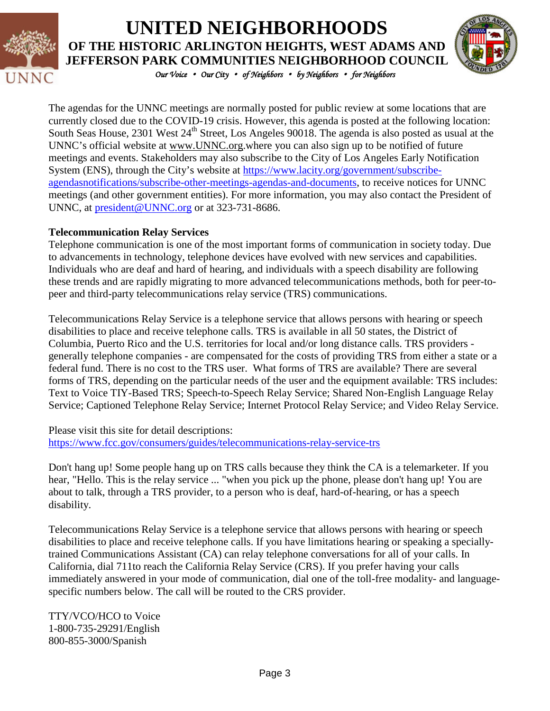

# **UNITED NEIGHBORHOODS OF THE HISTORIC ARLINGTON HEIGHTS, WEST ADAMS AND JEFFERSON PARK COMMUNITIES NEIGHBORHOOD COUNCIL**



*Our Voice* • *Our City* • *of Neighbors* • *by Neighbors* • *for Neighbors* 

The agendas for the UNNC meetings are normally posted for public review at some locations that are currently closed due to the COVID-19 crisis. However, this agenda is posted at the following location: South Seas House, 2301 West 24<sup>th</sup> Street, Los Angeles 90018. The agenda is also posted as usual at the UNNC's official website at [www.UNNC.org.](http://www.unnc.org/)where you can also sign up to be notified of future meetings and events. Stakeholders may also subscribe to the City of Los Angeles Early Notification System (ENS), through the City's website at [https://www.lacity.org/government/subscribe](https://www.lacity.org/government/subscribe-agendasnotifications/subscribe-other-meetings-agendas-and-documents)[agendasnotifications/subscribe-other-meetings-agendas-and-documents,](https://www.lacity.org/government/subscribe-agendasnotifications/subscribe-other-meetings-agendas-and-documents) to receive notices for UNNC meetings (and other government entities). For more information, you may also contact the President of UNNC, at [president@UNNC.org](mailto:president@UNNC.org) or at 323-731-8686.

## **Telecommunication Relay Services**

Telephone communication is one of the most important forms of communication in society today. Due to advancements in technology, telephone devices have evolved with new services and capabilities. Individuals who are deaf and hard of hearing, and individuals with a speech disability are following these trends and are rapidly migrating to more advanced telecommunications methods, both for peer-topeer and third-party telecommunications relay service (TRS) communications.

Telecommunications Relay Service is a telephone service that allows persons with hearing or speech disabilities to place and receive telephone calls. TRS is available in all 50 states, the District of Columbia, Puerto Rico and the U.S. territories for local and/or long distance calls. TRS providers generally telephone companies - are compensated for the costs of providing TRS from either a state or a federal fund. There is no cost to the TRS user. What forms of TRS are available? There are several forms of TRS, depending on the particular needs of the user and the equipment available: TRS includes: Text to Voice TIY-Based TRS; Speech-to-Speech Relay Service; Shared Non-English Language Relay Service; Captioned Telephone Relay Service; Internet Protocol Relay Service; and Video Relay Service.

Please visit this site for detail descriptions: <https://www.fcc.gov/consumers/guides/telecommunications-relay-service-trs>

Don't hang up! Some people hang up on TRS calls because they think the CA is a telemarketer. If you hear, "Hello. This is the relay service ... "when you pick up the phone, please don't hang up! You are about to talk, through a TRS provider, to a person who is deaf, hard-of-hearing, or has a speech disability.

Telecommunications Relay Service is a telephone service that allows persons with hearing or speech disabilities to place and receive telephone calls. If you have limitations hearing or speaking a speciallytrained Communications Assistant (CA) can relay telephone conversations for all of your calls. In California, dial 711to reach the California Relay Service (CRS). If you prefer having your calls immediately answered in your mode of communication, dial one of the toll-free modality- and languagespecific numbers below. The call will be routed to the CRS provider.

TTY/VCO/HCO to Voice 1-800-735-29291/English 800-855-3000/Spanish